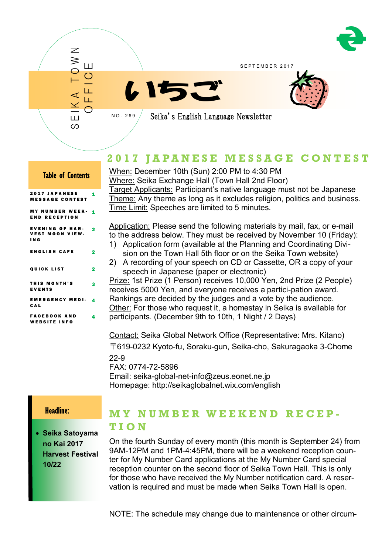

SEPTEMBER 2017





Seika's English Language Newsletter

# **2 0 1 7 J A P A N E S E M E S S A G E C O N T E S T**

## Table of Contents

S E I K A T O W N

Ш တ

 $\overline{\mathcal{Z}}$  $\geqslant$ 

O F F I C E

N O . 2 6 9

| <b>2017 JAPANESE</b><br><b>MESSAGE CONTEST</b>            | 1 |
|-----------------------------------------------------------|---|
| <b>MY NUMBER WEEK-</b><br><b>END RECEPTION</b>            | 1 |
| <b>EVENING OF HAR-</b><br><b>VEST MOON VIEW-</b><br>I N G | 2 |
| <b>ENGLISH CAFE</b>                                       | 2 |
| <b>QUICK LIST</b>                                         | 2 |
| <b>THIS MONTH'S</b><br><b>EVENTS</b>                      | 3 |
| <b>EMERGENCY MEDI-</b><br><b>CAL</b>                      | 4 |
| <b>FACEBOOK AND</b><br><b>WEBSITE INFO</b>                | 4 |

When: December 10th (Sun) 2:00 PM to 4:30 PM Where: Seika Exchange Hall (Town Hall 2nd Floor) Target Applicants: Participant's native language must not be Japanese Theme: Any theme as long as it excludes religion, politics and business. Time Limit: Speeches are limited to 5 minutes.

Application: Please send the following materials by mail, fax, or e-mail to the address below. They must be received by November 10 (Friday):

- 1) Application form (available at the Planning and Coordinating Division on the Town Hall 5th floor or on the Seika Town website)
- 2) A recording of your speech on CD or Cassette, OR a copy of your speech in Japanese (paper or electronic)

Prize: 1st Prize (1 Person) receives 10,000 Yen, 2nd Prize (2 People) receives 5000 Yen, and everyone receives a partici-pation award. Rankings are decided by the judges and a vote by the audience. Other: For those who request it, a homestay in Seika is available for participants. (December 9th to 10th, 1 Night / 2 Days)

Contact: Seika Global Network Office (Representative: Mrs. Kitano) 〒619-0232 Kyoto-fu, Soraku-gun, Seika-cho, Sakuragaoka 3-Chome 22-9 FAX: 0774-72-5896

Email: seika-global-net-info@zeus.eonet.ne.jp Homepage: http://seikaglobalnet.wix.com/english

## Headline:

Ī

 **Seika Satoyama no Kai 2017 Harvest Festival 10/22**

# **M Y N U M B E R W E E K E N D R E C E P - T I O N**

On the fourth Sunday of every month (this month is September 24) from 9AM-12PM and 1PM-4:45PM, there will be a weekend reception counter for My Number Card applications at the My Number Card special reception counter on the second floor of Seika Town Hall. This is only for those who have received the My Number notification card. A reservation is required and must be made when Seika Town Hall is open.

NOTE: The schedule may change due to maintenance or other circum-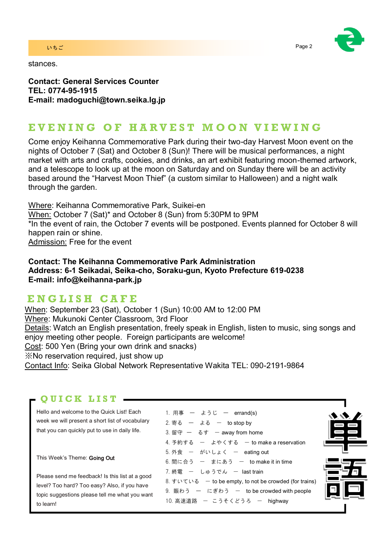### いちご Page 2 とのこと Page 2 とのこと アイディング・プレート こうしょうかい Page 2

stances.



**Contact: General Services Counter TEL: 0774-95-1915 E-mail: madoguchi@town.seika.lg.jp**

# **E V E N I N G O F H A R V E S T M O O N V I E W I N G**

Come enjoy Keihanna Commemorative Park during their two-day Harvest Moon event on the nights of October 7 (Sat) and October 8 (Sun)! There will be musical performances, a night market with arts and crafts, cookies, and drinks, an art exhibit featuring moon-themed artwork, and a telescope to look up at the moon on Saturday and on Sunday there will be an activity based around the "Harvest Moon Thief" (a custom similar to Halloween) and a night walk through the garden.

Where: Keihanna Commemorative Park, Suikei-en When: October 7 (Sat)\* and October 8 (Sun) from 5:30PM to 9PM \*In the event of rain, the October 7 events will be postponed. Events planned for October 8 will happen rain or shine. Admission: Free for the event

**Contact: The Keihanna Commemorative Park Administration Address: 6-1 Seikadai, Seika-cho, Soraku-gun, Kyoto Prefecture 619-0238 E-mail: info@keihanna-park.jp**

# **E N G L I S H C A F E**

When: September 23 (Sat), October 1 (Sun) 10:00 AM to 12:00 PM Where: Mukunoki Center Classroom, 3rd Floor Details: Watch an English presentation, freely speak in English, listen to music, sing songs and enjoy meeting other people. Foreign participants are welcome! Cost: 500 Yen (Bring your own drink and snacks) ※No reservation required, just show up Contact Info: Seika Global Network Representative Wakita TEL: 090-2191-9864

## **Q U I C K L I S T**

Hello and welcome to the Quick List! Each week we will present a short list of vocabulary that you can quickly put to use in daily life.

This Week's Theme: Going Out

Please send me feedback! Is this list at a good level? Too hard? Too easy? Also, if you have topic suggestions please tell me what you want to learn!

| 1. 用事 ― ようじ ― errand(s)                                |  |
|--------------------------------------------------------|--|
| 2. 寄る ― よる ― to stop by                                |  |
| 3. 留守 ー るす ー away from home                            |  |
| 4. 予約する ー よやくする ー to make a reservation                |  |
| 5. 外食 ー がいしょく ー eating out                             |  |
| 6. 間に合う ー まにあう ー to make it in time                    |  |
| 7.終電 ー しゅうでん ー lasttrain                               |  |
| 8. すいている – to be empty, to not be crowded (for trains) |  |
| 9. 賑わう ー にぎわう ー to be crowded with people              |  |
| 10. 高速道路 ー こうそくどうろ ー highway                           |  |
|                                                        |  |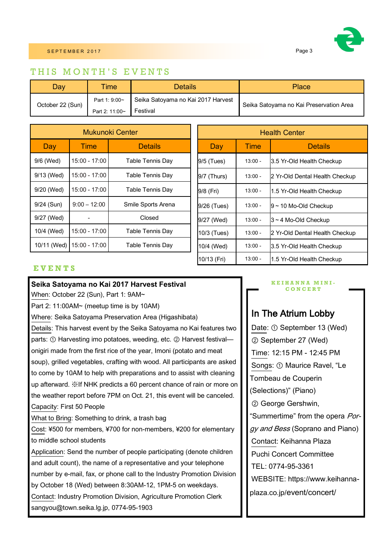

## THIS MONTH'S EVENTS

| Dav              | <b>Time</b>    | Details                            | Place                                   |  |
|------------------|----------------|------------------------------------|-----------------------------------------|--|
| October 22 (Sun) | Part 1: 9:00~  | Seika Satoyama no Kai 2017 Harvest | Seika Satoyama no Kai Preservation Area |  |
|                  | Part 2: 11:00~ | Festival                           |                                         |  |

| Mukunoki Center |                 |                    |  |
|-----------------|-----------------|--------------------|--|
| Day             | Time            | <b>Details</b>     |  |
| 9/6 (Wed)       | 15:00 - 17:00   | Table Tennis Day   |  |
| 9/13 (Wed)      | 15:00 - 17:00   | Table Tennis Day   |  |
| 9/20 (Wed)      | 15:00 - 17:00   | Table Tennis Day   |  |
| 9/24 (Sun)      | $9:00 - 12:00$  | Smile Sports Arena |  |
| 9/27 (Wed)      |                 | Closed             |  |
| 10/4 (Wed)      | $15:00 - 17:00$ | Table Tennis Day   |  |
| 10/11 (Wed)     | 15:00 - 17:00   | Table Tennis Day   |  |

| <b>Health Center</b> |           |                                |  |
|----------------------|-----------|--------------------------------|--|
| Day                  | Time      | <b>Details</b>                 |  |
| 9/5 (Tues)           | $13:00 -$ | 3.5 Yr-Old Health Checkup      |  |
| 9/7 (Thurs)          | $13:00 -$ | 2 Yr-Old Dental Health Checkup |  |
| 9/8 (Fri)            | $13:00 -$ | 1.5 Yr-Old Health Checkup      |  |
| 9/26 (Tues)          | $13:00 -$ | $9 \sim 10$ Mo-Old Checkup     |  |
| 9/27 (Wed)           | $13:00 -$ | 3~4 Mo-Old Checkup             |  |
| 10/3 (Tues)          | $13:00 -$ | 2 Yr-Old Dental Health Checkup |  |
| 10/4 (Wed)           | $13:00 -$ | 3.5 Yr-Old Health Checkup      |  |
| 10/13 (Fri)          | $13:00 -$ | 1.5 Yr-Old Health Checkup      |  |

### **E V E N T S**

### **Seika Satoyama no Kai 2017 Harvest Festival**

When: October 22 (Sun), Part 1: 9AM~

Part 2: 11:00AM~ (meetup time is by 10AM)

Where: Seika Satoyama Preservation Area (Higashibata)

Details: This harvest event by the Seika Satoyama no Kai features two parts: ① Harvesting imo potatoes, weeding, etc. ② Harvest festival onigiri made from the first rice of the year, Imoni (potato and meat soup), grilled vegetables, crafting with wood. All participants are asked to come by 10AM to help with preparations and to assist with cleaning up afterward. ※If NHK predicts a 60 percent chance of rain or more on the weather report before 7PM on Oct. 21, this event will be canceled. Capacity: First 50 People

What to Bring: Something to drink, a trash bag

Cost: ¥500 for members, ¥700 for non-members, ¥200 for elementary to middle school students

Application: Send the number of people participating (denote children and adult count), the name of a representative and your telephone number by e-mail, fax, or phone call to the Industry Promotion Division by October 18 (Wed) between 8:30AM-12, 1PM-5 on weekdays. Contact: Industry Promotion Division, Agriculture Promotion Clerk sangyou@town.seika.lg.jp, 0774-95-1903

#### **K E I H A N N A M I N I - C O N C E R T**

# In The Atrium Lobby

Date: ① September 13 (Wed) ② September 27 (Wed) Time: 12:15 PM - 12:45 PM Songs: ① Maurice Ravel, "Le Tombeau de Couperin (Selections)" (Piano) ② George Gershwin, "Summertime" from the opera Porgy and Bess (Soprano and Piano) Contact: Keihanna Plaza Puchi Concert Committee TEL: 0774-95-3361 WEBSITE: https://www.keihannaplaza.co.jp/event/concert/